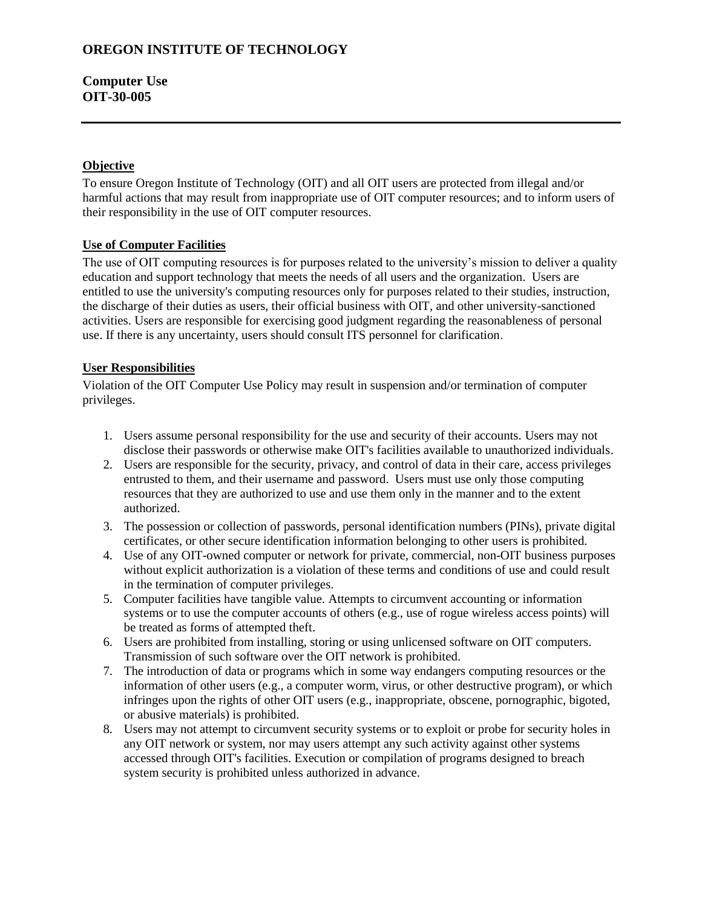# **Computer Use OIT-30-005**

#### **Objective**

To ensure Oregon Institute of Technology (OIT) and all OIT users are protected from illegal and/or harmful actions that may result from inappropriate use of OIT computer resources; and to inform users of their responsibility in the use of OIT computer resources.

### **Use of Computer Facilities**

The use of OIT computing resources is for purposes related to the university's mission to deliver a quality education and support technology that meets the needs of all users and the organization. Users are entitled to use the university's computing resources only for purposes related to their studies, instruction, the discharge of their duties as users, their official business with OIT, and other university-sanctioned activities. Users are responsible for exercising good judgment regarding the reasonableness of personal use. If there is any uncertainty, users should consult ITS personnel for clarification.

### **User Responsibilities**

Violation of the OIT Computer Use Policy may result in suspension and/or termination of computer privileges.

- 1. Users assume personal responsibility for the use and security of their accounts. Users may not disclose their passwords or otherwise make OIT's facilities available to unauthorized individuals.
- 2. Users are responsible for the security, privacy, and control of data in their care, access privileges entrusted to them, and their username and password. Users must use only those computing resources that they are authorized to use and use them only in the manner and to the extent authorized.
- 3. The possession or collection of passwords, personal identification numbers (PINs), private digital certificates, or other secure identification information belonging to other users is prohibited.
- 4. Use of any OIT-owned computer or network for private, commercial, non-OIT business purposes without explicit authorization is a violation of these terms and conditions of use and could result in the termination of computer privileges.
- 5. Computer facilities have tangible value. Attempts to circumvent accounting or information systems or to use the computer accounts of others (e.g., use of rogue wireless access points) will be treated as forms of attempted theft.
- 6. Users are prohibited from installing, storing or using unlicensed software on OIT computers. Transmission of such software over the OIT network is prohibited.
- 7. The introduction of data or programs which in some way endangers computing resources or the information of other users (e.g., a computer worm, virus, or other destructive program), or which infringes upon the rights of other OIT users (e.g., inappropriate, obscene, pornographic, bigoted, or abusive materials) is prohibited.
- 8. Users may not attempt to circumvent security systems or to exploit or probe for security holes in any OIT network or system, nor may users attempt any such activity against other systems accessed through OIT's facilities. Execution or compilation of programs designed to breach system security is prohibited unless authorized in advance.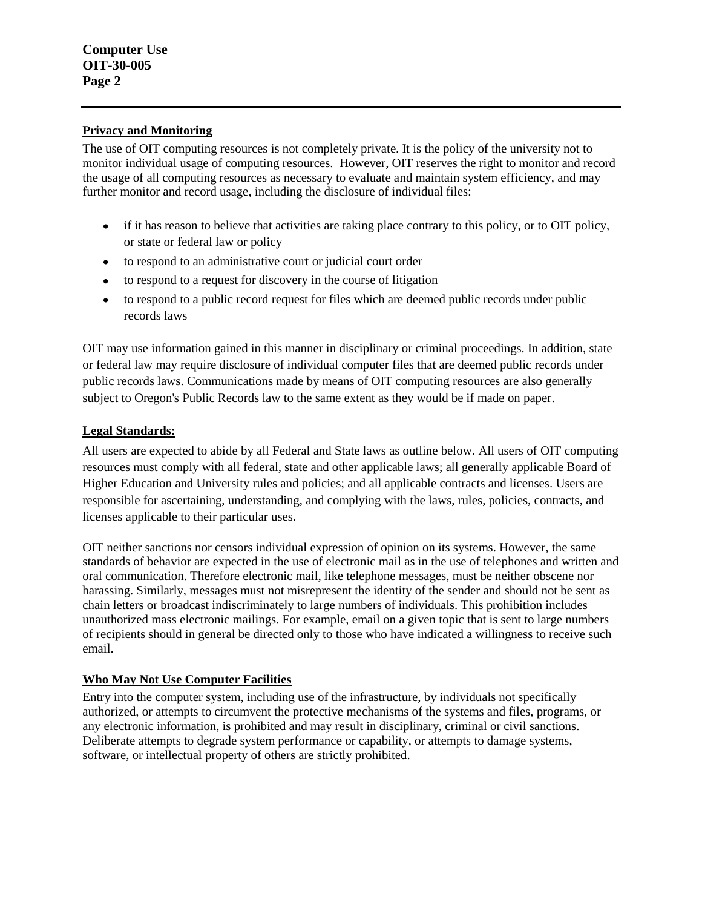#### **Privacy and Monitoring**

The use of OIT computing resources is not completely private. It is the policy of the university not to monitor individual usage of computing resources. However, OIT reserves the right to monitor and record the usage of all computing resources as necessary to evaluate and maintain system efficiency, and may further monitor and record usage, including the disclosure of individual files:

- if it has reason to believe that activities are taking place contrary to this policy, or to OIT policy, or state or federal law or policy
- to respond to an administrative court or judicial court order
- to respond to a request for discovery in the course of litigation
- to respond to a public record request for files which are deemed public records under public  $\bullet$ records laws

OIT may use information gained in this manner in disciplinary or criminal proceedings. In addition, state or federal law may require disclosure of individual computer files that are deemed public records under public records laws. Communications made by means of OIT computing resources are also generally subject to Oregon's Public Records law to the same extent as they would be if made on paper.

### **Legal Standards:**

All users are expected to abide by all Federal and State laws as outline below. All users of OIT computing resources must comply with all federal, state and other applicable laws; all generally applicable Board of Higher Education and University rules and policies; and all applicable contracts and licenses. Users are responsible for ascertaining, understanding, and complying with the laws, rules, policies, contracts, and licenses applicable to their particular uses.

OIT neither sanctions nor censors individual expression of opinion on its systems. However, the same standards of behavior are expected in the use of electronic mail as in the use of telephones and written and oral communication. Therefore electronic mail, like telephone messages, must be neither obscene nor harassing. Similarly, messages must not misrepresent the identity of the sender and should not be sent as chain letters or broadcast indiscriminately to large numbers of individuals. This prohibition includes unauthorized mass electronic mailings. For example, email on a given topic that is sent to large numbers of recipients should in general be directed only to those who have indicated a willingness to receive such email.

# **Who May Not Use Computer Facilities**

Entry into the computer system, including use of the infrastructure, by individuals not specifically authorized, or attempts to circumvent the protective mechanisms of the systems and files, programs, or any electronic information, is prohibited and may result in disciplinary, criminal or civil sanctions. Deliberate attempts to degrade system performance or capability, or attempts to damage systems, software, or intellectual property of others are strictly prohibited.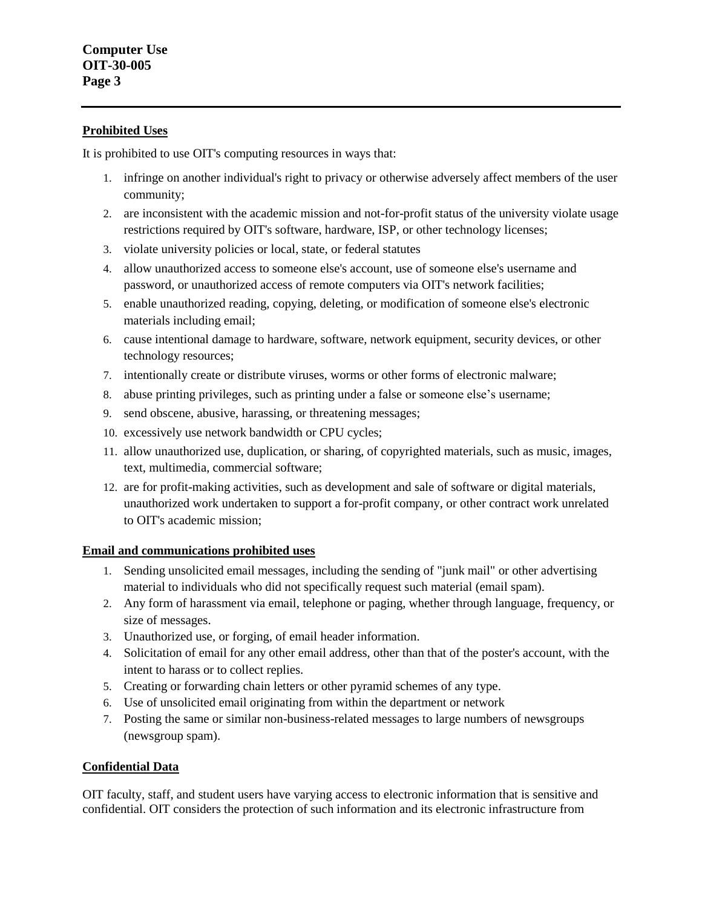#### **Prohibited Uses**

It is prohibited to use OIT's computing resources in ways that:

- 1. infringe on another individual's right to privacy or otherwise adversely affect members of the user community;
- 2. are inconsistent with the academic mission and not-for-profit status of the university violate usage restrictions required by OIT's software, hardware, ISP, or other technology licenses;
- 3. violate university policies or local, state, or federal statutes
- 4. allow unauthorized access to someone else's account, use of someone else's username and password, or unauthorized access of remote computers via OIT's network facilities;
- 5. enable unauthorized reading, copying, deleting, or modification of someone else's electronic materials including email;
- 6. cause intentional damage to hardware, software, network equipment, security devices, or other technology resources;
- 7. intentionally create or distribute viruses, worms or other forms of electronic malware;
- 8. abuse printing privileges, such as printing under a false or someone else's username;
- 9. send obscene, abusive, harassing, or threatening messages;
- 10. excessively use network bandwidth or CPU cycles;
- 11. allow unauthorized use, duplication, or sharing, of copyrighted materials, such as music, images, text, multimedia, commercial software;
- 12. are for profit-making activities, such as development and sale of software or digital materials, unauthorized work undertaken to support a for-profit company, or other contract work unrelated to OIT's academic mission;

# **Email and communications prohibited uses**

- 1. Sending unsolicited email messages, including the sending of "junk mail" or other advertising material to individuals who did not specifically request such material (email spam).
- 2. Any form of harassment via email, telephone or paging, whether through language, frequency, or size of messages.
- 3. Unauthorized use, or forging, of email header information.
- 4. Solicitation of email for any other email address, other than that of the poster's account, with the intent to harass or to collect replies.
- 5. Creating or forwarding chain letters or other pyramid schemes of any type.
- 6. Use of unsolicited email originating from within the department or network
- 7. Posting the same or similar non-business-related messages to large numbers of newsgroups (newsgroup spam).

# **Confidential Data**

OIT faculty, staff, and student users have varying access to electronic information that is sensitive and [confidential.](http://web.reed.edu/cis/help/id-confidential.html) OIT considers the protection of such information and its electronic infrastructure from